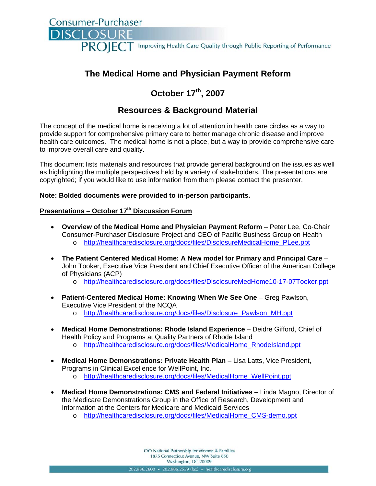Consumer-Purchaser **DISCLOSI** PROIFCT Improving Health Care Quality through Public Reporting of Performance

# **The Medical Home and Physician Payment Reform**

# **October 17th, 2007**

# **Resources & Background Material**

The concept of the medical home is receiving a lot of attention in health care circles as a way to provide support for comprehensive primary care to better manage chronic disease and improve health care outcomes. The medical home is not a place, but a way to provide comprehensive care to improve overall care and quality.

This document lists materials and resources that provide general background on the issues as well as highlighting the multiple perspectives held by a variety of stakeholders. The presentations are copyrighted; if you would like to use information from them please contact the presenter.

#### **Note: Bolded documents were provided to in-person participants.**

# **Presentations – October 17th Discussion Forum**

- **Overview of the Medical Home and Physician Payment Reform** Peter Lee, Co-Chair Consumer-Purchaser Disclosure Project and CEO of Pacific Business Group on Health o http://healthcaredisclosure.org/docs/files/DisclosureMedicalHome\_PLee.ppt
- **The Patient Centered Medical Home: A New model for Primary and Principal Care** John Tooker, Executive Vice President and Chief Executive Officer of the American College of Physicians (ACP)
	- o http://healthcaredisclosure.org/docs/files/DisclosureMedHome10-17-07Tooker.ppt
- **Patient-Centered Medical Home: Knowing When We See One** Greg Pawlson, Executive Vice President of the NCQA
	- o http://healthcaredisclosure.org/docs/files/Disclosure\_Pawlson\_MH.ppt
- **Medical Home Demonstrations: Rhode Island Experience** Deidre Gifford, Chief of Health Policy and Programs at Quality Partners of Rhode Island
	- o http://healthcaredisclosure.org/docs/files/MedicalHome\_RhodeIsland.ppt
- **Medical Home Demonstrations: Private Health Plan** Lisa Latts, Vice President, Programs in Clinical Excellence for WellPoint, Inc.
	- o http://healthcaredisclosure.org/docs/files/MedicalHome\_WellPoint.ppt
- **Medical Home Demonstrations: CMS and Federal Initiatives** Linda Magno, Director of the Medicare Demonstrations Group in the Office of Research, Development and Information at the Centers for Medicare and Medicaid Services
	- o http://healthcaredisclosure.org/docs/files/MedicalHome\_CMS-demo.ppt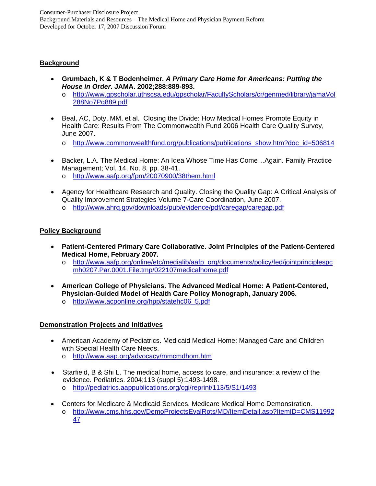## **Background**

- **Grumbach, K & T Bodenheimer.** *A Primary Care Home for Americans: Putting the House in Order***. JAMA. 2002;288:889-893.** 
	- o http://www.gpscholar.uthscsa.edu/gpscholar/FacultyScholars/cr/genmed/library/jamaVol 288No7Pg889.pdf
- Beal, AC, Doty, MM, et al. Closing the Divide: How Medical Homes Promote Equity in Health Care: Results From The Commonwealth Fund 2006 Health Care Quality Survey, June 2007.
	- o http://www.commonwealthfund.org/publications/publications\_show.htm?doc\_id=506814
- Backer, L.A. The Medical Home: An Idea Whose Time Has Come…Again. Family Practice Management; Vol. 14, No. 8, pp. 38-41. o http://www.aafp.org/fpm/20070900/38them.html
- Agency for Healthcare Research and Quality. Closing the Quality Gap: A Critical Analysis of Quality Improvement Strategies Volume 7-Care Coordination, June 2007.
	- o http://www.ahrq.gov/downloads/pub/evidence/pdf/caregap/caregap.pdf

## **Policy Background**

- **Patient-Centered Primary Care Collaborative. Joint Principles of the Patient-Centered Medical Home, February 2007.** 
	- o http://www.aafp.org/online/etc/medialib/aafp\_org/documents/policy/fed/jointprinciplespc mh0207.Par.0001.File.tmp/022107medicalhome.pdf
- **American College of Physicians. The Advanced Medical Home: A Patient-Centered, Physician-Guided Model of Health Care Policy Monograph, January 2006.** 
	- o http://www.acponline.org/hpp/statehc06\_5.pdf

#### **Demonstration Projects and Initiatives**

- American Academy of Pediatrics. Medicaid Medical Home: Managed Care and Children with Special Health Care Needs.
	- o http://www.aap.org/advocacy/mmcmdhom.htm
- Starfield, B & Shi L. The medical home, access to care, and insurance: a review of the evidence. Pediatrics. 2004;113 (suppl 5):1493-1498.
	- o http://pediatrics.aappublications.org/cgi/reprint/113/5/S1/1493
- Centers for Medicare & Medicaid Services. Medicare Medical Home Demonstration. o http://www.cms.hhs.gov/DemoProjectsEvalRpts/MD/ItemDetail.asp?ItemID=CMS11992 47